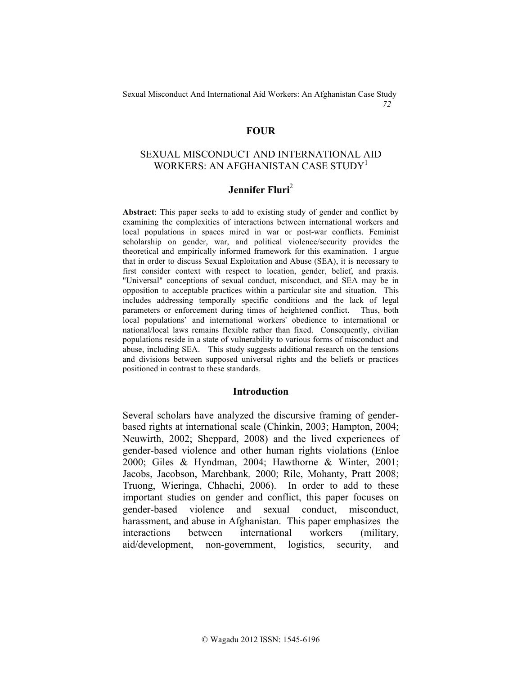### **FOUR**

## SEXUAL MISCONDUCT AND INTERNATIONAL AID WORKERS: AN AFGHANISTAN CASE STUDY<sup>1</sup>

# **Jennifer Fluri**<sup>2</sup>

**Abstract**: This paper seeks to add to existing study of gender and conflict by examining the complexities of interactions between international workers and local populations in spaces mired in war or post-war conflicts. Feminist scholarship on gender, war, and political violence/security provides the theoretical and empirically informed framework for this examination. I argue that in order to discuss Sexual Exploitation and Abuse (SEA), it is necessary to first consider context with respect to location, gender, belief, and praxis. "Universal" conceptions of sexual conduct, misconduct, and SEA may be in opposition to acceptable practices within a particular site and situation. This includes addressing temporally specific conditions and the lack of legal parameters or enforcement during times of heightened conflict. Thus, both local populations' and international workers' obedience to international or national/local laws remains flexible rather than fixed. Consequently, civilian populations reside in a state of vulnerability to various forms of misconduct and abuse, including SEA. This study suggests additional research on the tensions and divisions between supposed universal rights and the beliefs or practices positioned in contrast to these standards.

#### **Introduction**

Several scholars have analyzed the discursive framing of genderbased rights at international scale (Chinkin, 2003; Hampton, 2004; Neuwirth, 2002; Sheppard, 2008) and the lived experiences of gender-based violence and other human rights violations (Enloe 2000; Giles & Hyndman, 2004; Hawthorne & Winter, 2001; Jacobs, Jacobson, Marchbank*,* 2000; Rile, Mohanty, Pratt 2008; Truong, Wieringa, Chhachi, 2006). In order to add to these important studies on gender and conflict, this paper focuses on gender-based violence and sexual conduct, misconduct, harassment, and abuse in Afghanistan. This paper emphasizes the interactions between international workers (military, aid/development, non-government, logistics, security, and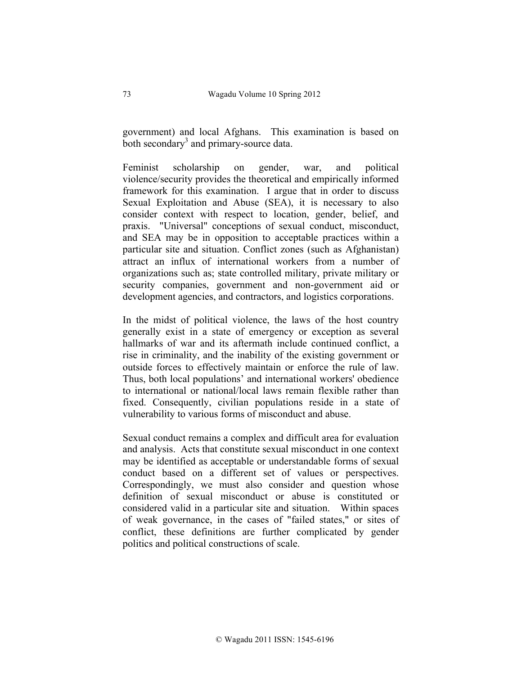government) and local Afghans. This examination is based on both secondary<sup>3</sup> and primary-source data.

Feminist scholarship on gender, war, and political violence/security provides the theoretical and empirically informed framework for this examination. I argue that in order to discuss Sexual Exploitation and Abuse (SEA), it is necessary to also consider context with respect to location, gender, belief, and praxis. "Universal" conceptions of sexual conduct, misconduct, and SEA may be in opposition to acceptable practices within a particular site and situation. Conflict zones (such as Afghanistan) attract an influx of international workers from a number of organizations such as; state controlled military, private military or security companies, government and non-government aid or development agencies, and contractors, and logistics corporations.

In the midst of political violence, the laws of the host country generally exist in a state of emergency or exception as several hallmarks of war and its aftermath include continued conflict, a rise in criminality, and the inability of the existing government or outside forces to effectively maintain or enforce the rule of law. Thus, both local populations' and international workers' obedience to international or national/local laws remain flexible rather than fixed. Consequently, civilian populations reside in a state of vulnerability to various forms of misconduct and abuse.

Sexual conduct remains a complex and difficult area for evaluation and analysis. Acts that constitute sexual misconduct in one context may be identified as acceptable or understandable forms of sexual conduct based on a different set of values or perspectives. Correspondingly, we must also consider and question whose definition of sexual misconduct or abuse is constituted or considered valid in a particular site and situation. Within spaces of weak governance, in the cases of "failed states," or sites of conflict, these definitions are further complicated by gender politics and political constructions of scale.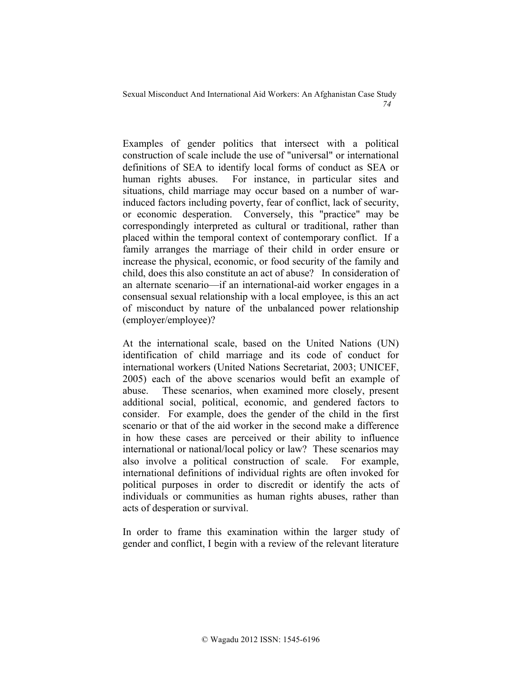Examples of gender politics that intersect with a political construction of scale include the use of "universal" or international definitions of SEA to identify local forms of conduct as SEA or human rights abuses. For instance, in particular sites and situations, child marriage may occur based on a number of warinduced factors including poverty, fear of conflict, lack of security, or economic desperation. Conversely, this "practice" may be correspondingly interpreted as cultural or traditional, rather than placed within the temporal context of contemporary conflict. If a family arranges the marriage of their child in order ensure or increase the physical, economic, or food security of the family and child, does this also constitute an act of abuse? In consideration of an alternate scenario—if an international-aid worker engages in a consensual sexual relationship with a local employee, is this an act of misconduct by nature of the unbalanced power relationship (employer/employee)?

At the international scale, based on the United Nations (UN) identification of child marriage and its code of conduct for international workers (United Nations Secretariat, 2003; UNICEF, 2005) each of the above scenarios would befit an example of abuse. These scenarios, when examined more closely, present additional social, political, economic, and gendered factors to consider. For example, does the gender of the child in the first scenario or that of the aid worker in the second make a difference in how these cases are perceived or their ability to influence international or national/local policy or law? These scenarios may also involve a political construction of scale. For example, international definitions of individual rights are often invoked for political purposes in order to discredit or identify the acts of individuals or communities as human rights abuses, rather than acts of desperation or survival.

In order to frame this examination within the larger study of gender and conflict, I begin with a review of the relevant literature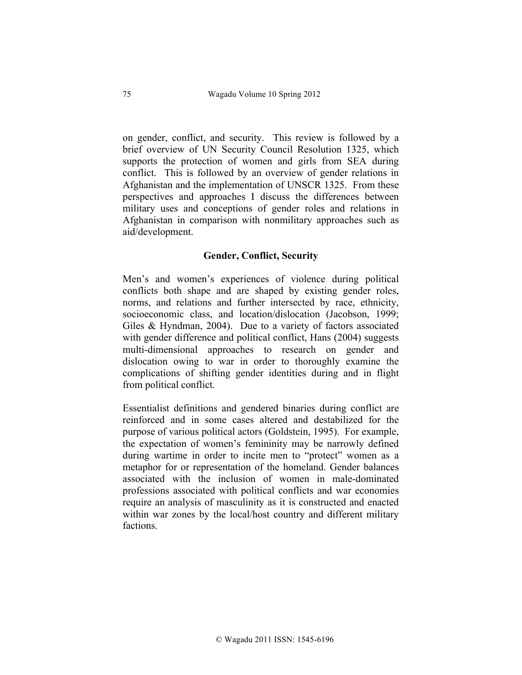on gender, conflict, and security. This review is followed by a brief overview of UN Security Council Resolution 1325, which supports the protection of women and girls from SEA during conflict. This is followed by an overview of gender relations in Afghanistan and the implementation of UNSCR 1325. From these perspectives and approaches I discuss the differences between military uses and conceptions of gender roles and relations in Afghanistan in comparison with nonmilitary approaches such as aid/development.

## **Gender, Conflict, Security**

Men's and women's experiences of violence during political conflicts both shape and are shaped by existing gender roles, norms, and relations and further intersected by race, ethnicity, socioeconomic class, and location/dislocation (Jacobson, 1999; Giles & Hyndman, 2004). Due to a variety of factors associated with gender difference and political conflict, Hans (2004) suggests multi-dimensional approaches to research on gender and dislocation owing to war in order to thoroughly examine the complications of shifting gender identities during and in flight from political conflict.

Essentialist definitions and gendered binaries during conflict are reinforced and in some cases altered and destabilized for the purpose of various political actors (Goldstein, 1995). For example, the expectation of women's femininity may be narrowly defined during wartime in order to incite men to "protect" women as a metaphor for or representation of the homeland. Gender balances associated with the inclusion of women in male-dominated professions associated with political conflicts and war economies require an analysis of masculinity as it is constructed and enacted within war zones by the local/host country and different military factions.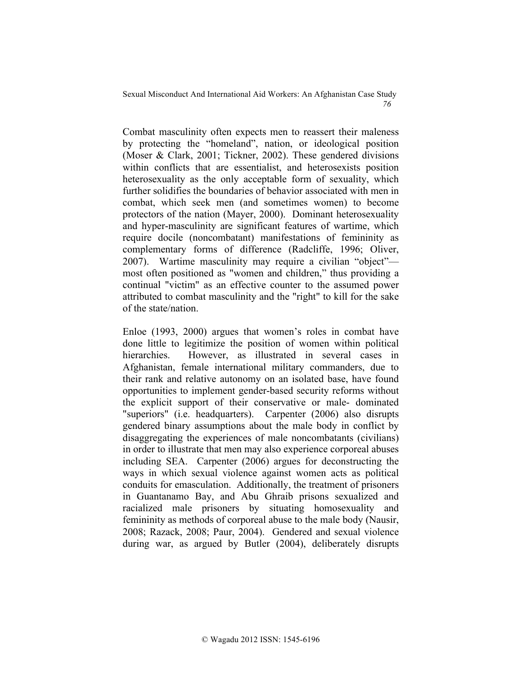Combat masculinity often expects men to reassert their maleness by protecting the "homeland", nation, or ideological position (Moser & Clark, 2001; Tickner, 2002). These gendered divisions within conflicts that are essentialist, and heterosexists position heterosexuality as the only acceptable form of sexuality, which further solidifies the boundaries of behavior associated with men in combat, which seek men (and sometimes women) to become protectors of the nation (Mayer, 2000). Dominant heterosexuality and hyper-masculinity are significant features of wartime, which require docile (noncombatant) manifestations of femininity as complementary forms of difference (Radcliffe, 1996; Oliver, 2007). Wartime masculinity may require a civilian "object" most often positioned as "women and children," thus providing a continual "victim" as an effective counter to the assumed power attributed to combat masculinity and the "right" to kill for the sake of the state/nation.

Enloe (1993, 2000) argues that women's roles in combat have done little to legitimize the position of women within political hierarchies. However, as illustrated in several cases in Afghanistan, female international military commanders, due to their rank and relative autonomy on an isolated base, have found opportunities to implement gender-based security reforms without the explicit support of their conservative or male- dominated "superiors" (i.e. headquarters). Carpenter (2006) also disrupts gendered binary assumptions about the male body in conflict by disaggregating the experiences of male noncombatants (civilians) in order to illustrate that men may also experience corporeal abuses including SEA. Carpenter (2006) argues for deconstructing the ways in which sexual violence against women acts as political conduits for emasculation. Additionally, the treatment of prisoners in Guantanamo Bay, and Abu Ghraib prisons sexualized and racialized male prisoners by situating homosexuality and femininity as methods of corporeal abuse to the male body (Nausir, 2008; Razack, 2008; Paur, 2004). Gendered and sexual violence during war, as argued by Butler (2004), deliberately disrupts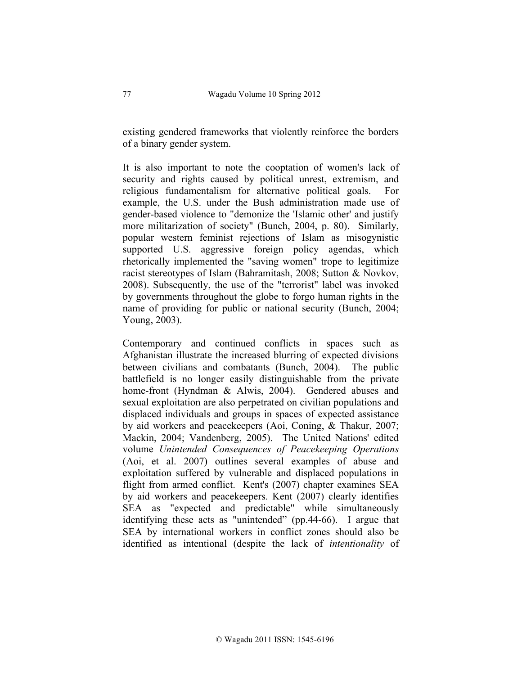existing gendered frameworks that violently reinforce the borders of a binary gender system.

It is also important to note the cooptation of women's lack of security and rights caused by political unrest, extremism, and religious fundamentalism for alternative political goals. For example, the U.S. under the Bush administration made use of gender-based violence to "demonize the 'Islamic other' and justify more militarization of society" (Bunch, 2004, p. 80). Similarly, popular western feminist rejections of Islam as misogynistic supported U.S. aggressive foreign policy agendas, which rhetorically implemented the "saving women" trope to legitimize racist stereotypes of Islam (Bahramitash, 2008; Sutton & Novkov, 2008). Subsequently, the use of the "terrorist" label was invoked by governments throughout the globe to forgo human rights in the name of providing for public or national security (Bunch, 2004; Young, 2003).

Contemporary and continued conflicts in spaces such as Afghanistan illustrate the increased blurring of expected divisions between civilians and combatants (Bunch, 2004). The public battlefield is no longer easily distinguishable from the private home-front (Hyndman & Alwis, 2004). Gendered abuses and sexual exploitation are also perpetrated on civilian populations and displaced individuals and groups in spaces of expected assistance by aid workers and peacekeepers (Aoi, Coning, & Thakur, 2007; Mackin, 2004; Vandenberg, 2005). The United Nations' edited volume *Unintended Consequences of Peacekeeping Operations*  (Aoi, et al. 2007) outlines several examples of abuse and exploitation suffered by vulnerable and displaced populations in flight from armed conflict. Kent's (2007) chapter examines SEA by aid workers and peacekeepers. Kent (2007) clearly identifies SEA as "expected and predictable" while simultaneously identifying these acts as "unintended" (pp.44-66). I argue that SEA by international workers in conflict zones should also be identified as intentional (despite the lack of *intentionality* of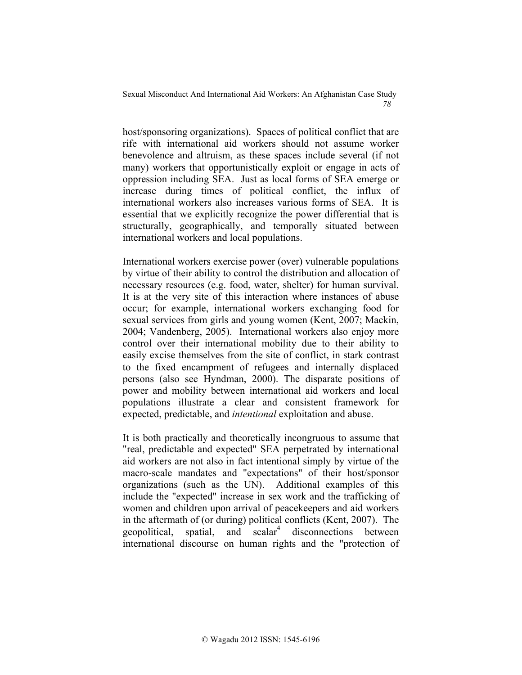host/sponsoring organizations). Spaces of political conflict that are rife with international aid workers should not assume worker benevolence and altruism, as these spaces include several (if not many) workers that opportunistically exploit or engage in acts of oppression including SEA. Just as local forms of SEA emerge or increase during times of political conflict, the influx of international workers also increases various forms of SEA. It is essential that we explicitly recognize the power differential that is structurally, geographically, and temporally situated between international workers and local populations.

International workers exercise power (over) vulnerable populations by virtue of their ability to control the distribution and allocation of necessary resources (e.g. food, water, shelter) for human survival. It is at the very site of this interaction where instances of abuse occur; for example, international workers exchanging food for sexual services from girls and young women (Kent, 2007; Mackin, 2004; Vandenberg, 2005). International workers also enjoy more control over their international mobility due to their ability to easily excise themselves from the site of conflict, in stark contrast to the fixed encampment of refugees and internally displaced persons (also see Hyndman, 2000). The disparate positions of power and mobility between international aid workers and local populations illustrate a clear and consistent framework for expected, predictable, and *intentional* exploitation and abuse.

It is both practically and theoretically incongruous to assume that "real, predictable and expected" SEA perpetrated by international aid workers are not also in fact intentional simply by virtue of the macro-scale mandates and "expectations" of their host/sponsor organizations (such as the UN). Additional examples of this include the "expected" increase in sex work and the trafficking of women and children upon arrival of peacekeepers and aid workers in the aftermath of (or during) political conflicts (Kent, 2007). The geopolitical, spatial, and  $\text{scalar}^4$  disconnections between international discourse on human rights and the "protection of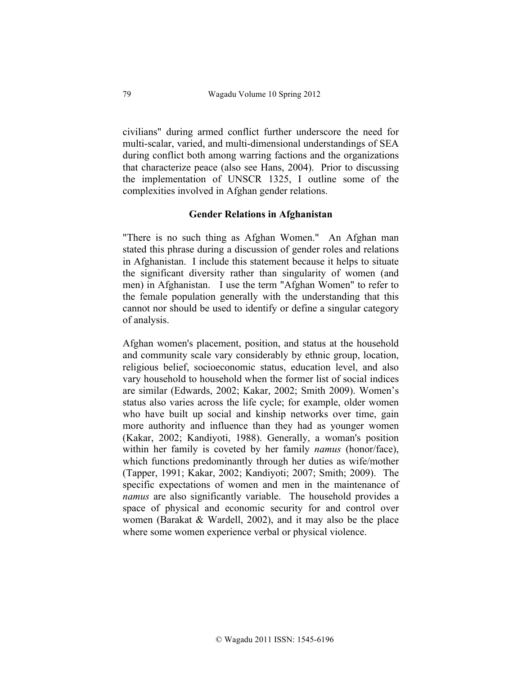civilians" during armed conflict further underscore the need for multi-scalar, varied, and multi-dimensional understandings of SEA during conflict both among warring factions and the organizations that characterize peace (also see Hans, 2004). Prior to discussing the implementation of UNSCR 1325, I outline some of the complexities involved in Afghan gender relations.

#### **Gender Relations in Afghanistan**

"There is no such thing as Afghan Women." An Afghan man stated this phrase during a discussion of gender roles and relations in Afghanistan. I include this statement because it helps to situate the significant diversity rather than singularity of women (and men) in Afghanistan. I use the term "Afghan Women" to refer to the female population generally with the understanding that this cannot nor should be used to identify or define a singular category of analysis.

Afghan women's placement, position, and status at the household and community scale vary considerably by ethnic group, location, religious belief, socioeconomic status, education level, and also vary household to household when the former list of social indices are similar (Edwards, 2002; Kakar, 2002; Smith 2009). Women's status also varies across the life cycle; for example, older women who have built up social and kinship networks over time, gain more authority and influence than they had as younger women (Kakar, 2002; Kandiyoti, 1988). Generally, a woman's position within her family is coveted by her family *namus* (honor/face), which functions predominantly through her duties as wife/mother (Tapper, 1991; Kakar, 2002; Kandiyoti; 2007; Smith; 2009). The specific expectations of women and men in the maintenance of *namus* are also significantly variable. The household provides a space of physical and economic security for and control over women (Barakat & Wardell, 2002), and it may also be the place where some women experience verbal or physical violence.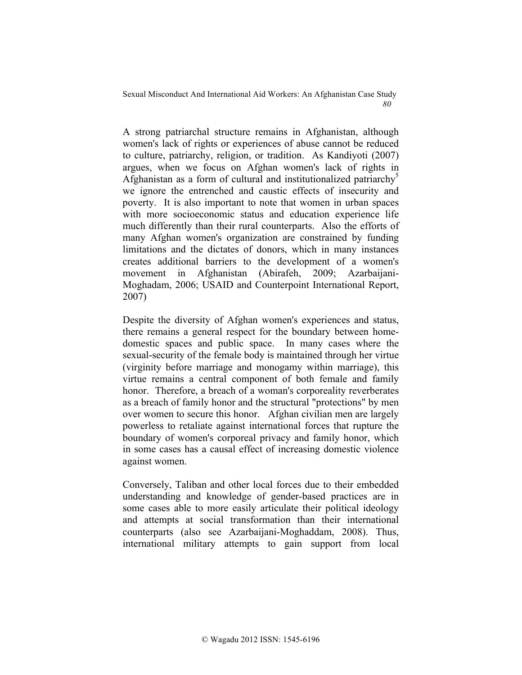A strong patriarchal structure remains in Afghanistan, although women's lack of rights or experiences of abuse cannot be reduced to culture, patriarchy, religion, or tradition. As Kandiyoti (2007) argues, when we focus on Afghan women's lack of rights in Afghanistan as a form of cultural and institutionalized patriarchy<sup>5</sup> we ignore the entrenched and caustic effects of insecurity and poverty. It is also important to note that women in urban spaces with more socioeconomic status and education experience life much differently than their rural counterparts. Also the efforts of many Afghan women's organization are constrained by funding limitations and the dictates of donors, which in many instances creates additional barriers to the development of a women's movement in Afghanistan (Abirafeh, 2009; Azarbaijani-Moghadam, 2006; USAID and Counterpoint International Report, 2007)

Despite the diversity of Afghan women's experiences and status, there remains a general respect for the boundary between homedomestic spaces and public space. In many cases where the sexual-security of the female body is maintained through her virtue (virginity before marriage and monogamy within marriage), this virtue remains a central component of both female and family honor. Therefore, a breach of a woman's corporeality reverberates as a breach of family honor and the structural "protections" by men over women to secure this honor. Afghan civilian men are largely powerless to retaliate against international forces that rupture the boundary of women's corporeal privacy and family honor, which in some cases has a causal effect of increasing domestic violence against women.

Conversely, Taliban and other local forces due to their embedded understanding and knowledge of gender-based practices are in some cases able to more easily articulate their political ideology and attempts at social transformation than their international counterparts (also see Azarbaijani-Moghaddam, 2008). Thus, international military attempts to gain support from local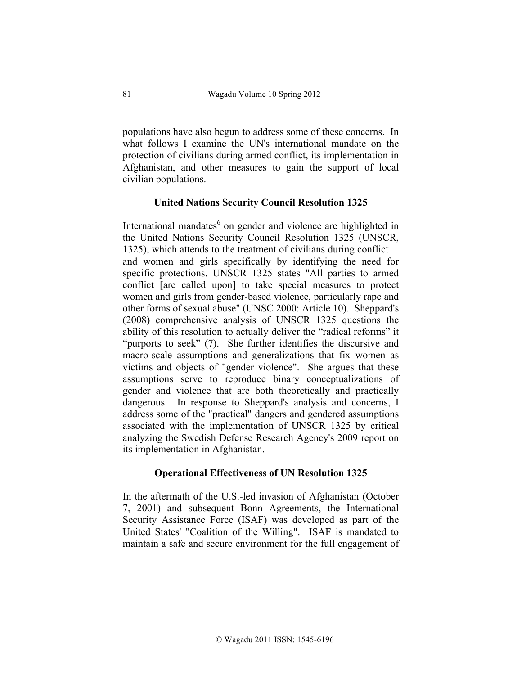populations have also begun to address some of these concerns. In what follows I examine the UN's international mandate on the protection of civilians during armed conflict, its implementation in Afghanistan, and other measures to gain the support of local civilian populations.

### **United Nations Security Council Resolution 1325**

International mandates<sup>6</sup> on gender and violence are highlighted in the United Nations Security Council Resolution 1325 (UNSCR, 1325), which attends to the treatment of civilians during conflict and women and girls specifically by identifying the need for specific protections. UNSCR 1325 states "All parties to armed conflict [are called upon] to take special measures to protect women and girls from gender-based violence, particularly rape and other forms of sexual abuse" (UNSC 2000: Article 10). Sheppard's (2008) comprehensive analysis of UNSCR 1325 questions the ability of this resolution to actually deliver the "radical reforms" it "purports to seek" (7). She further identifies the discursive and macro-scale assumptions and generalizations that fix women as victims and objects of "gender violence". She argues that these assumptions serve to reproduce binary conceptualizations of gender and violence that are both theoretically and practically dangerous. In response to Sheppard's analysis and concerns, I address some of the "practical" dangers and gendered assumptions associated with the implementation of UNSCR 1325 by critical analyzing the Swedish Defense Research Agency's 2009 report on its implementation in Afghanistan.

#### **Operational Effectiveness of UN Resolution 1325**

In the aftermath of the U.S.-led invasion of Afghanistan (October 7, 2001) and subsequent Bonn Agreements, the International Security Assistance Force (ISAF) was developed as part of the United States' "Coalition of the Willing". ISAF is mandated to maintain a safe and secure environment for the full engagement of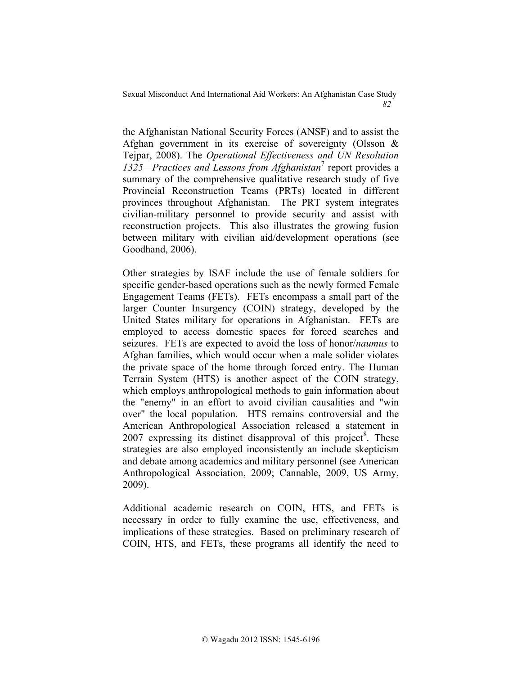the Afghanistan National Security Forces (ANSF) and to assist the Afghan government in its exercise of sovereignty (Olsson & Tejpar, 2008). The *Operational Effectiveness and UN Resolution*  1325—Practices and Lessons from Afghanistan<sup>7</sup> report provides a summary of the comprehensive qualitative research study of five Provincial Reconstruction Teams (PRTs) located in different provinces throughout Afghanistan. The PRT system integrates civilian-military personnel to provide security and assist with reconstruction projects. This also illustrates the growing fusion between military with civilian aid/development operations (see Goodhand, 2006).

Other strategies by ISAF include the use of female soldiers for specific gender-based operations such as the newly formed Female Engagement Teams (FETs). FETs encompass a small part of the larger Counter Insurgency (COIN) strategy, developed by the United States military for operations in Afghanistan. FETs are employed to access domestic spaces for forced searches and seizures. FETs are expected to avoid the loss of honor/*naumus* to Afghan families, which would occur when a male solider violates the private space of the home through forced entry. The Human Terrain System (HTS) is another aspect of the COIN strategy, which employs anthropological methods to gain information about the "enemy" in an effort to avoid civilian causalities and "win over" the local population. HTS remains controversial and the American Anthropological Association released a statement in 2007 expressing its distinct disapproval of this project<sup>8</sup>. These strategies are also employed inconsistently an include skepticism and debate among academics and military personnel (see American Anthropological Association, 2009; Cannable, 2009, US Army, 2009).

Additional academic research on COIN, HTS, and FETs is necessary in order to fully examine the use, effectiveness, and implications of these strategies. Based on preliminary research of COIN, HTS, and FETs, these programs all identify the need to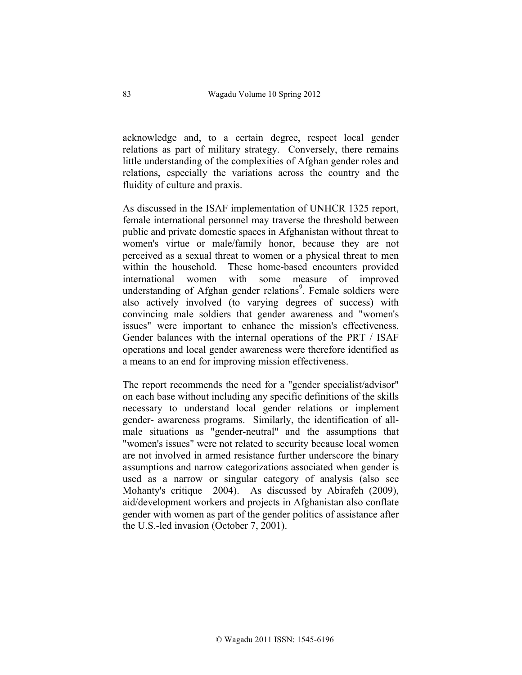acknowledge and, to a certain degree, respect local gender relations as part of military strategy. Conversely, there remains little understanding of the complexities of Afghan gender roles and relations, especially the variations across the country and the fluidity of culture and praxis.

As discussed in the ISAF implementation of UNHCR 1325 report, female international personnel may traverse the threshold between public and private domestic spaces in Afghanistan without threat to women's virtue or male/family honor, because they are not perceived as a sexual threat to women or a physical threat to men within the household. These home-based encounters provided international women with some measure of improved understanding of Afghan gender relations<sup>9</sup>. Female soldiers were also actively involved (to varying degrees of success) with convincing male soldiers that gender awareness and "women's issues" were important to enhance the mission's effectiveness. Gender balances with the internal operations of the PRT / ISAF operations and local gender awareness were therefore identified as a means to an end for improving mission effectiveness.

The report recommends the need for a "gender specialist/advisor" on each base without including any specific definitions of the skills necessary to understand local gender relations or implement gender- awareness programs. Similarly, the identification of allmale situations as "gender-neutral" and the assumptions that "women's issues" were not related to security because local women are not involved in armed resistance further underscore the binary assumptions and narrow categorizations associated when gender is used as a narrow or singular category of analysis (also see Mohanty's critique 2004). As discussed by Abirafeh (2009), aid/development workers and projects in Afghanistan also conflate gender with women as part of the gender politics of assistance after the U.S.-led invasion (October 7, 2001).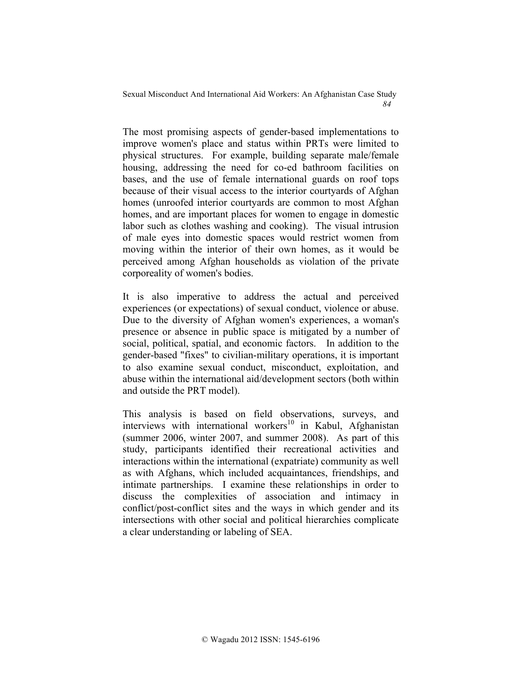The most promising aspects of gender-based implementations to improve women's place and status within PRTs were limited to physical structures. For example, building separate male/female housing, addressing the need for co-ed bathroom facilities on bases, and the use of female international guards on roof tops because of their visual access to the interior courtyards of Afghan homes (unroofed interior courtyards are common to most Afghan homes, and are important places for women to engage in domestic labor such as clothes washing and cooking). The visual intrusion of male eyes into domestic spaces would restrict women from moving within the interior of their own homes, as it would be perceived among Afghan households as violation of the private corporeality of women's bodies.

It is also imperative to address the actual and perceived experiences (or expectations) of sexual conduct, violence or abuse. Due to the diversity of Afghan women's experiences, a woman's presence or absence in public space is mitigated by a number of social, political, spatial, and economic factors. In addition to the gender-based "fixes" to civilian-military operations, it is important to also examine sexual conduct, misconduct, exploitation, and abuse within the international aid/development sectors (both within and outside the PRT model).

This analysis is based on field observations, surveys, and interviews with international workers<sup>10</sup> in Kabul, Afghanistan (summer 2006, winter 2007, and summer 2008). As part of this study, participants identified their recreational activities and interactions within the international (expatriate) community as well as with Afghans, which included acquaintances, friendships, and intimate partnerships. I examine these relationships in order to discuss the complexities of association and intimacy in conflict/post-conflict sites and the ways in which gender and its intersections with other social and political hierarchies complicate a clear understanding or labeling of SEA.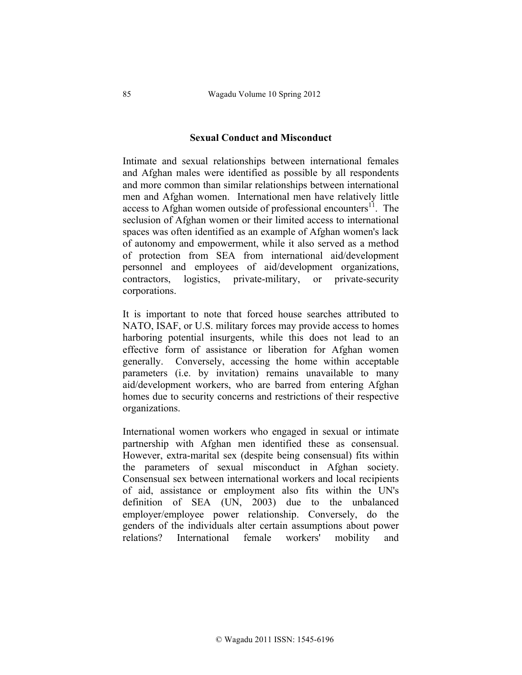### **Sexual Conduct and Misconduct**

Intimate and sexual relationships between international females and Afghan males were identified as possible by all respondents and more common than similar relationships between international men and Afghan women. International men have relatively little access to Afghan women outside of professional encounters $^{11}$ . The seclusion of Afghan women or their limited access to international spaces was often identified as an example of Afghan women's lack of autonomy and empowerment, while it also served as a method of protection from SEA from international aid/development personnel and employees of aid/development organizations, contractors, logistics, private-military, or private-security corporations.

It is important to note that forced house searches attributed to NATO, ISAF, or U.S. military forces may provide access to homes harboring potential insurgents, while this does not lead to an effective form of assistance or liberation for Afghan women generally. Conversely, accessing the home within acceptable parameters (i.e. by invitation) remains unavailable to many aid/development workers, who are barred from entering Afghan homes due to security concerns and restrictions of their respective organizations.

International women workers who engaged in sexual or intimate partnership with Afghan men identified these as consensual. However, extra-marital sex (despite being consensual) fits within the parameters of sexual misconduct in Afghan society. Consensual sex between international workers and local recipients of aid, assistance or employment also fits within the UN's definition of SEA (UN, 2003) due to the unbalanced employer/employee power relationship. Conversely, do the genders of the individuals alter certain assumptions about power relations? International female workers' mobility and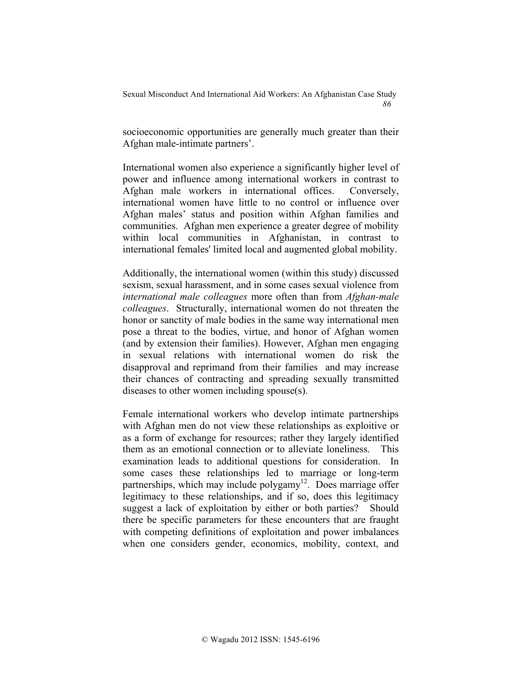socioeconomic opportunities are generally much greater than their Afghan male-intimate partners'.

International women also experience a significantly higher level of power and influence among international workers in contrast to Afghan male workers in international offices. Conversely, international women have little to no control or influence over Afghan males' status and position within Afghan families and communities. Afghan men experience a greater degree of mobility within local communities in Afghanistan, in contrast to international females' limited local and augmented global mobility.

Additionally, the international women (within this study) discussed sexism, sexual harassment, and in some cases sexual violence from *international male colleagues* more often than from *Afghan-male colleagues*. Structurally, international women do not threaten the honor or sanctity of male bodies in the same way international men pose a threat to the bodies, virtue, and honor of Afghan women (and by extension their families). However, Afghan men engaging in sexual relations with international women do risk the disapproval and reprimand from their families and may increase their chances of contracting and spreading sexually transmitted diseases to other women including spouse(s).

Female international workers who develop intimate partnerships with Afghan men do not view these relationships as exploitive or as a form of exchange for resources; rather they largely identified them as an emotional connection or to alleviate loneliness. This examination leads to additional questions for consideration. In some cases these relationships led to marriage or long-term partnerships, which may include polygamy<sup>12</sup>. Does marriage offer legitimacy to these relationships, and if so, does this legitimacy suggest a lack of exploitation by either or both parties? Should there be specific parameters for these encounters that are fraught with competing definitions of exploitation and power imbalances when one considers gender, economics, mobility, context, and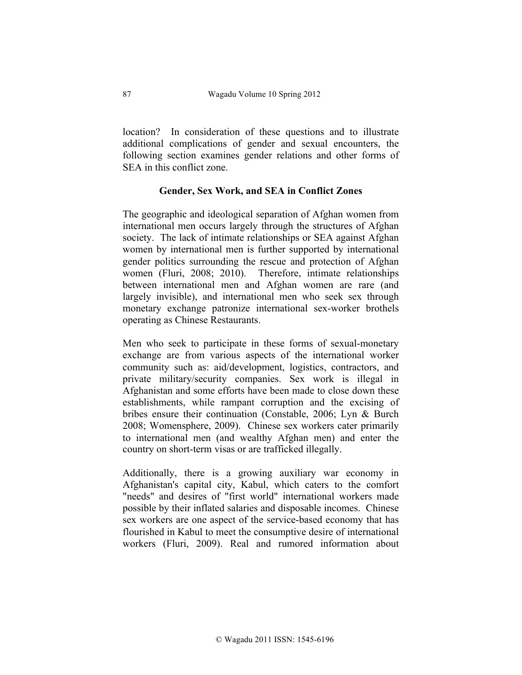location? In consideration of these questions and to illustrate additional complications of gender and sexual encounters, the following section examines gender relations and other forms of SEA in this conflict zone.

## **Gender, Sex Work, and SEA in Conflict Zones**

The geographic and ideological separation of Afghan women from international men occurs largely through the structures of Afghan society. The lack of intimate relationships or SEA against Afghan women by international men is further supported by international gender politics surrounding the rescue and protection of Afghan women (Fluri, 2008; 2010). Therefore, intimate relationships between international men and Afghan women are rare (and largely invisible), and international men who seek sex through monetary exchange patronize international sex-worker brothels operating as Chinese Restaurants.

Men who seek to participate in these forms of sexual-monetary exchange are from various aspects of the international worker community such as: aid/development, logistics, contractors, and private military/security companies. Sex work is illegal in Afghanistan and some efforts have been made to close down these establishments, while rampant corruption and the excising of bribes ensure their continuation (Constable, 2006; Lyn & Burch 2008; Womensphere, 2009). Chinese sex workers cater primarily to international men (and wealthy Afghan men) and enter the country on short-term visas or are trafficked illegally.

Additionally, there is a growing auxiliary war economy in Afghanistan's capital city, Kabul, which caters to the comfort "needs" and desires of "first world" international workers made possible by their inflated salaries and disposable incomes. Chinese sex workers are one aspect of the service-based economy that has flourished in Kabul to meet the consumptive desire of international workers (Fluri, 2009). Real and rumored information about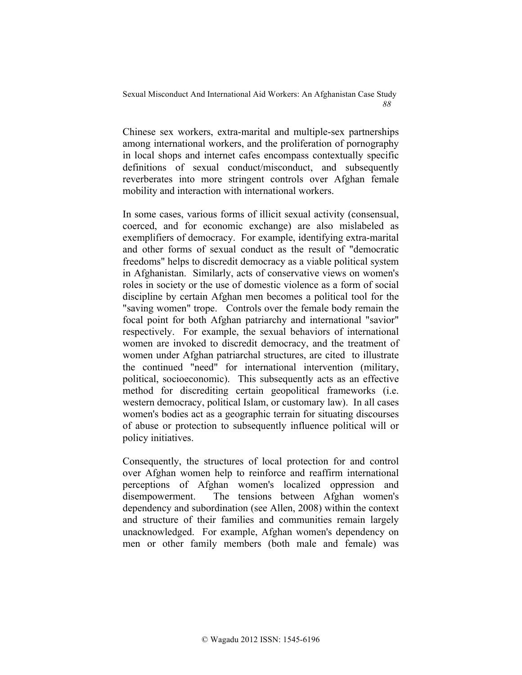Chinese sex workers, extra-marital and multiple-sex partnerships among international workers, and the proliferation of pornography in local shops and internet cafes encompass contextually specific definitions of sexual conduct/misconduct, and subsequently reverberates into more stringent controls over Afghan female mobility and interaction with international workers.

In some cases, various forms of illicit sexual activity (consensual, coerced, and for economic exchange) are also mislabeled as exemplifiers of democracy. For example, identifying extra-marital and other forms of sexual conduct as the result of "democratic freedoms" helps to discredit democracy as a viable political system in Afghanistan. Similarly, acts of conservative views on women's roles in society or the use of domestic violence as a form of social discipline by certain Afghan men becomes a political tool for the "saving women" trope. Controls over the female body remain the focal point for both Afghan patriarchy and international "savior" respectively. For example, the sexual behaviors of international women are invoked to discredit democracy, and the treatment of women under Afghan patriarchal structures, are cited to illustrate the continued "need" for international intervention (military, political, socioeconomic). This subsequently acts as an effective method for discrediting certain geopolitical frameworks (i.e. western democracy, political Islam, or customary law). In all cases women's bodies act as a geographic terrain for situating discourses of abuse or protection to subsequently influence political will or policy initiatives.

Consequently, the structures of local protection for and control over Afghan women help to reinforce and reaffirm international perceptions of Afghan women's localized oppression and disempowerment. The tensions between Afghan women's dependency and subordination (see Allen, 2008) within the context and structure of their families and communities remain largely unacknowledged. For example, Afghan women's dependency on men or other family members (both male and female) was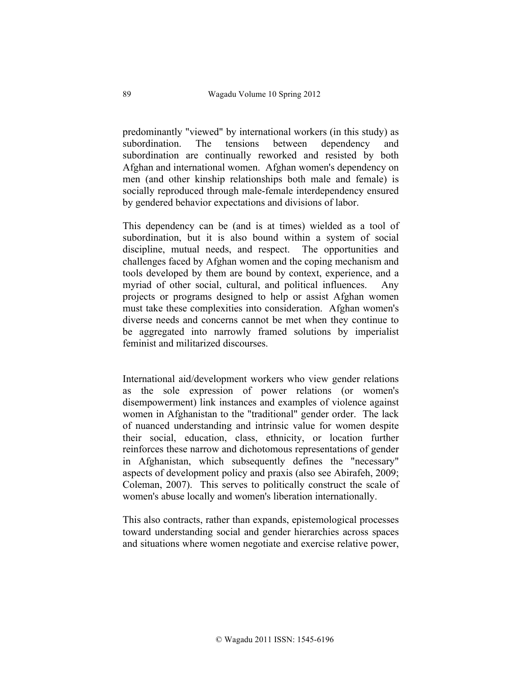predominantly "viewed" by international workers (in this study) as subordination. The tensions between dependency and subordination are continually reworked and resisted by both Afghan and international women. Afghan women's dependency on men (and other kinship relationships both male and female) is socially reproduced through male-female interdependency ensured by gendered behavior expectations and divisions of labor.

This dependency can be (and is at times) wielded as a tool of subordination, but it is also bound within a system of social discipline, mutual needs, and respect. The opportunities and challenges faced by Afghan women and the coping mechanism and tools developed by them are bound by context, experience, and a myriad of other social, cultural, and political influences. Any projects or programs designed to help or assist Afghan women must take these complexities into consideration. Afghan women's diverse needs and concerns cannot be met when they continue to be aggregated into narrowly framed solutions by imperialist feminist and militarized discourses.

International aid/development workers who view gender relations as the sole expression of power relations (or women's disempowerment) link instances and examples of violence against women in Afghanistan to the "traditional" gender order. The lack of nuanced understanding and intrinsic value for women despite their social, education, class, ethnicity, or location further reinforces these narrow and dichotomous representations of gender in Afghanistan, which subsequently defines the "necessary" aspects of development policy and praxis (also see Abirafeh, 2009; Coleman, 2007). This serves to politically construct the scale of women's abuse locally and women's liberation internationally.

This also contracts, rather than expands, epistemological processes toward understanding social and gender hierarchies across spaces and situations where women negotiate and exercise relative power,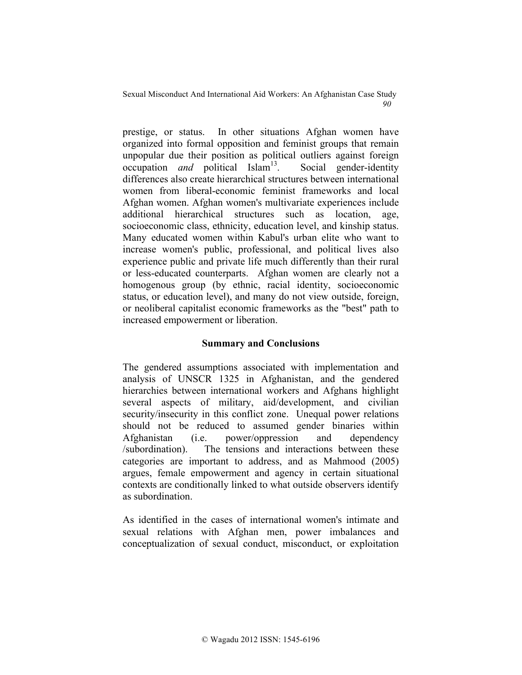prestige, or status. In other situations Afghan women have organized into formal opposition and feminist groups that remain unpopular due their position as political outliers against foreign occupation *and* political Islam<sup>13</sup>. Social gender-identity differences also create hierarchical structures between international women from liberal-economic feminist frameworks and local Afghan women. Afghan women's multivariate experiences include additional hierarchical structures such as location, age, socioeconomic class, ethnicity, education level, and kinship status. Many educated women within Kabul's urban elite who want to increase women's public, professional, and political lives also experience public and private life much differently than their rural or less-educated counterparts. Afghan women are clearly not a homogenous group (by ethnic, racial identity, socioeconomic status, or education level), and many do not view outside, foreign, or neoliberal capitalist economic frameworks as the "best" path to increased empowerment or liberation.

## **Summary and Conclusions**

The gendered assumptions associated with implementation and analysis of UNSCR 1325 in Afghanistan, and the gendered hierarchies between international workers and Afghans highlight several aspects of military, aid/development, and civilian security/insecurity in this conflict zone. Unequal power relations should not be reduced to assumed gender binaries within Afghanistan (i.e. power/oppression and dependency /subordination). The tensions and interactions between these categories are important to address, and as Mahmood (2005) argues, female empowerment and agency in certain situational contexts are conditionally linked to what outside observers identify as subordination.

As identified in the cases of international women's intimate and sexual relations with Afghan men, power imbalances and conceptualization of sexual conduct, misconduct, or exploitation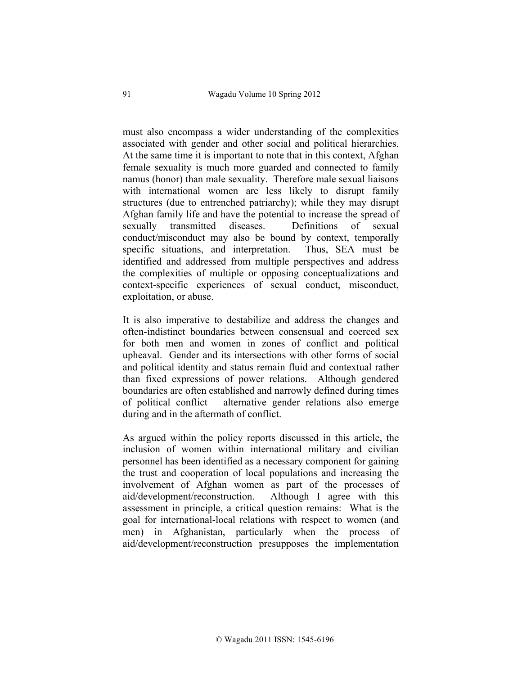must also encompass a wider understanding of the complexities associated with gender and other social and political hierarchies. At the same time it is important to note that in this context, Afghan female sexuality is much more guarded and connected to family namus (honor) than male sexuality. Therefore male sexual liaisons with international women are less likely to disrupt family structures (due to entrenched patriarchy); while they may disrupt Afghan family life and have the potential to increase the spread of sexually transmitted diseases. Definitions of sexual conduct/misconduct may also be bound by context, temporally specific situations, and interpretation. Thus, SEA must be identified and addressed from multiple perspectives and address the complexities of multiple or opposing conceptualizations and context-specific experiences of sexual conduct, misconduct, exploitation, or abuse.

It is also imperative to destabilize and address the changes and often-indistinct boundaries between consensual and coerced sex for both men and women in zones of conflict and political upheaval. Gender and its intersections with other forms of social and political identity and status remain fluid and contextual rather than fixed expressions of power relations. Although gendered boundaries are often established and narrowly defined during times of political conflict— alternative gender relations also emerge during and in the aftermath of conflict.

As argued within the policy reports discussed in this article, the inclusion of women within international military and civilian personnel has been identified as a necessary component for gaining the trust and cooperation of local populations and increasing the involvement of Afghan women as part of the processes of aid/development/reconstruction. Although I agree with this assessment in principle, a critical question remains: What is the goal for international-local relations with respect to women (and men) in Afghanistan, particularly when the process of aid/development/reconstruction presupposes the implementation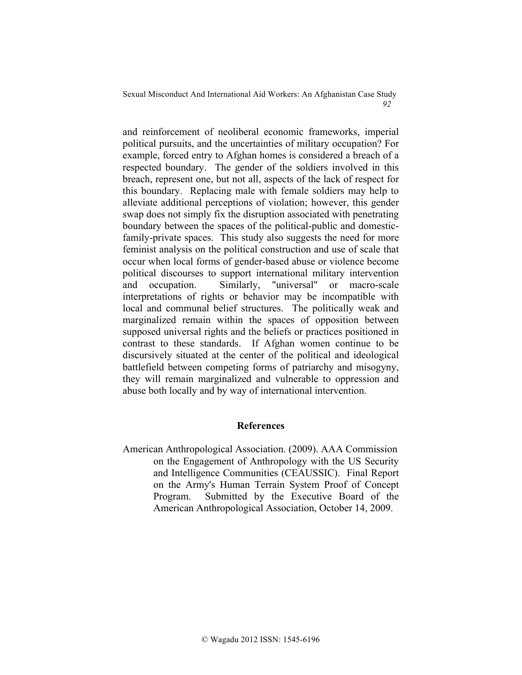and reinforcement of neoliberal economic frameworks, imperial political pursuits, and the uncertainties of military occupation? For example, forced entry to Afghan homes is considered a breach of a respected boundary. The gender of the soldiers involved in this breach, represent one, but not all, aspects of the lack of respect for this boundary. Replacing male with female soldiers may help to alleviate additional perceptions of violation; however, this gender swap does not simply fix the disruption associated with penetrating boundary between the spaces of the political-public and domesticfamily-private spaces. This study also suggests the need for more feminist analysis on the political construction and use of scale that occur when local forms of gender-based abuse or violence become political discourses to support international military intervention and occupation. Similarly, "universal" or macro-scale interpretations of rights or behavior may be incompatible with local and communal belief structures. The politically weak and marginalized remain within the spaces of opposition between supposed universal rights and the beliefs or practices positioned in contrast to these standards. If Afghan women continue to be discursively situated at the center of the political and ideological battlefield between competing forms of patriarchy and misogyny, they will remain marginalized and vulnerable to oppression and abuse both locally and by way of international intervention.

## **References**

American Anthropological Association. (2009). AAA Commission on the Engagement of Anthropology with the US Security and Intelligence Communities (CEAUSSIC). Final Report on the Army's Human Terrain System Proof of Concept Program. Submitted by the Executive Board of the American Anthropological Association, October 14, 2009.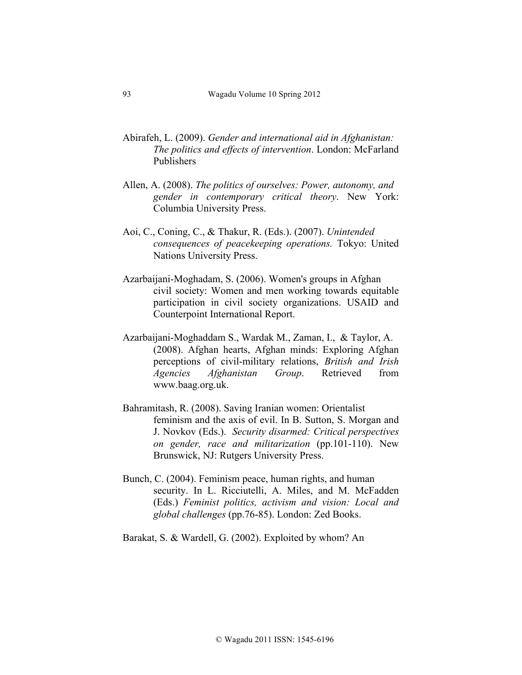- Abirafeh, L. (2009). *Gender and international aid in Afghanistan: The politics and effects of intervention*. London: McFarland Publishers
- Allen, A. (2008). *The politics of ourselves: Power, autonomy, and gender in contemporary critical theory*. New York: Columbia University Press.
- Aoi, C., Coning, C., & Thakur, R. (Eds.). (2007). *Unintended consequences of peacekeeping operations.* Tokyo: United Nations University Press.
- Azarbaijani-Moghadam, S. (2006). Women's groups in Afghan civil society: Women and men working towards equitable participation in civil society organizations. USAID and Counterpoint International Report.
- Azarbaijani-Moghaddam S., Wardak M., Zaman, I., & Taylor, A. (2008). Afghan hearts, Afghan minds: Exploring Afghan perceptions of civil-military relations, *British and Irish Agencies Afghanistan Group*. Retrieved from www.baag.org.uk.
- Bahramitash, R. (2008). Saving Iranian women: Orientalist feminism and the axis of evil. In B. Sutton, S. Morgan and J. Novkov (Eds.). *Security disarmed: Critical perspectives on gender, race and militarization* (pp.101-110). New Brunswick, NJ: Rutgers University Press.
- Bunch, C. (2004). Feminism peace, human rights, and human security. In L. Ricciutelli, A. Miles, and M. McFadden (Eds.) *Feminist politics, activism and vision: Local and global challenges* (pp.76-85). London: Zed Books.

Barakat, S. & Wardell, G. (2002). Exploited by whom? An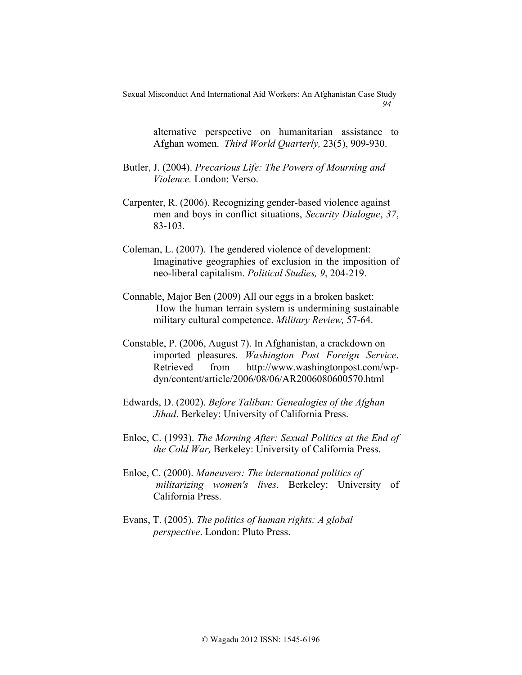> alternative perspective on humanitarian assistance to Afghan women. *Third World Quarterly,* 23(5), 909-930.

- Butler, J. (2004). *Precarious Life: The Powers of Mourning and Violence.* London: Verso.
- Carpenter, R. (2006). Recognizing gender-based violence against men and boys in conflict situations, *Security Dialogue*, *37*, 83-103.
- Coleman, L. (2007). The gendered violence of development: Imaginative geographies of exclusion in the imposition of neo-liberal capitalism. *Political Studies, 9*, 204-219.
- Connable, Major Ben (2009) All our eggs in a broken basket: How the human terrain system is undermining sustainable military cultural competence. *Military Review,* 57-64.
- Constable, P. (2006, August 7). In Afghanistan, a crackdown on imported pleasures. *Washington Post Foreign Service*. Retrieved from http://www.washingtonpost.com/wpdyn/content/article/2006/08/06/AR2006080600570.html
- Edwards, D. (2002). *Before Taliban: Genealogies of the Afghan Jihad*. Berkeley: University of California Press.
- Enloe, C. (1993). *The Morning After: Sexual Politics at the End of the Cold War,* Berkeley: University of California Press.
- Enloe, C. (2000). *Maneuvers: The international politics of militarizing women's lives*. Berkeley: University of California Press.
- Evans, T. (2005). *The politics of human rights: A global perspective*. London: Pluto Press.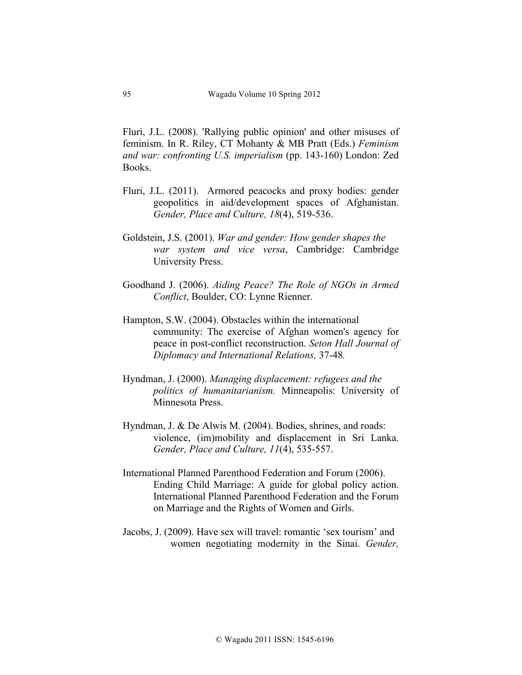Fluri, J.L. (2008). 'Rallying public opinion' and other misuses of feminism. In R. Riley, CT Mohanty & MB Pratt (Eds.) *Feminism and war: confronting U.S. imperialism* (pp. 143-160) London: Zed Books.

- Fluri, J.L. (2011). Armored peacocks and proxy bodies: gender geopolitics in aid/development spaces of Afghanistan. *Gender, Place and Culture, 18*(4), 519-536.
- Goldstein, J.S. (2001). *War and gender: How gender shapes the war system and vice versa*, Cambridge: Cambridge University Press.
- Goodhand J. (2006). *Aiding Peace? The Role of NGOs in Armed Conflict*, Boulder, CO: Lynne Rienner.
- Hampton, S.W. (2004). Obstacles within the international community: The exercise of Afghan women's agency for peace in post-conflict reconstruction. *Seton Hall Journal of Diplomacy and International Relations,* 37-48*.*
- Hyndman, J. (2000). *Managing displacement: refugees and the politics of humanitarianism.* Minneapolis: University of Minnesota Press.
- Hyndman, J. & De Alwis M. (2004). Bodies, shrines, and roads: violence, (im)mobility and displacement in Sri Lanka. *Gender, Place and Culture, 11*(4), 535-557.
- International Planned Parenthood Federation and Forum (2006). Ending Child Marriage: A guide for global policy action. International Planned Parenthood Federation and the Forum on Marriage and the Rights of Women and Girls.
- Jacobs, J. (2009). Have sex will travel: romantic 'sex tourism' and women negotiating modernity in the Sinai. *Gender,*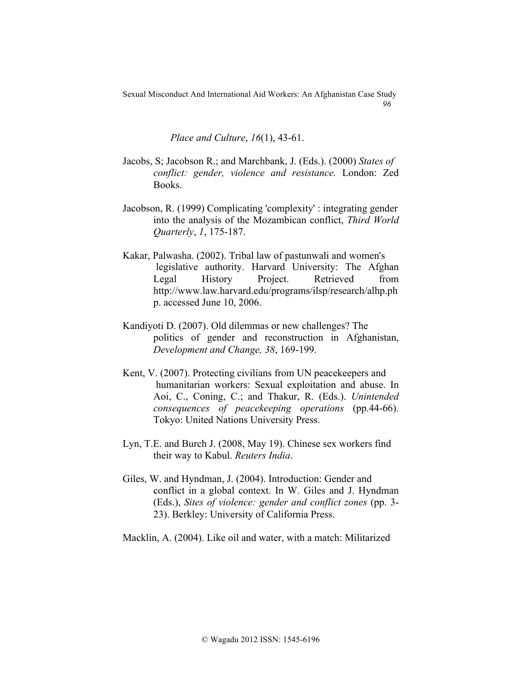*Place and Culture*, *16*(1), 43-61.

- Jacobs, S; Jacobson R.; and Marchbank, J. (Eds.). (2000) *States of conflict: gender, violence and resistance.* London: Zed Books.
- Jacobson, R. (1999) Complicating 'complexity' : integrating gender into the analysis of the Mozambican conflict, *Third World Quarterly*, *1*, 175-187.
- Kakar, Palwasha. (2002). Tribal law of pastunwali and women's legislative authority. Harvard University: The Afghan Legal History Project. Retrieved from http://www.law.harvard.edu/programs/ilsp/research/alhp.ph p. accessed June 10, 2006.
- Kandiyoti D. (2007). Old dilemmas or new challenges? The politics of gender and reconstruction in Afghanistan, *Development and Change, 38*, 169-199.
- Kent, V. (2007). Protecting civilians from UN peacekeepers and humanitarian workers: Sexual exploitation and abuse. In Aoi, C., Coning, C.; and Thakur, R. (Eds.). *Unintended consequences of peacekeeping operations* (pp.44-66). Tokyo: United Nations University Press.
- Lyn, T.E. and Burch J. (2008, May 19). Chinese sex workers find their way to Kabul. *Reuters India*.
- Giles, W. and Hyndman, J. (2004). Introduction: Gender and conflict in a global context. In W. Giles and J. Hyndman (Eds.), *Sites of violence: gender and conflict zones* (pp. 3- 23). Berkley: University of California Press.

Macklin, A. (2004). Like oil and water, with a match: Militarized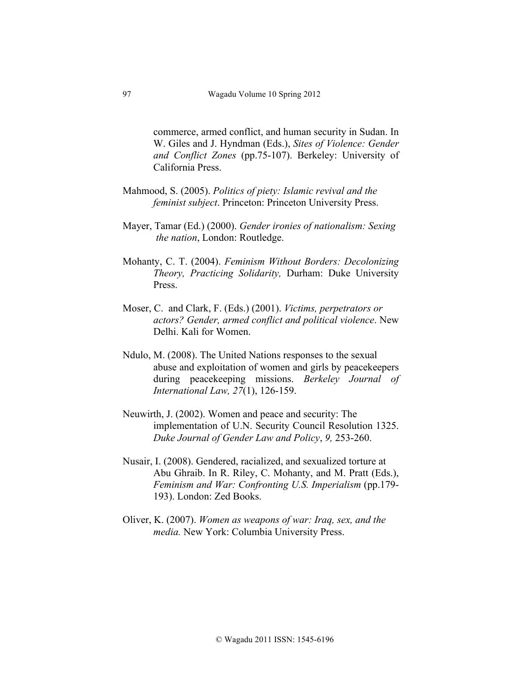commerce, armed conflict, and human security in Sudan. In W. Giles and J. Hyndman (Eds.), *Sites of Violence: Gender and Conflict Zones* (pp.75-107). Berkeley: University of California Press.

- Mahmood, S. (2005). *Politics of piety: Islamic revival and the feminist subject*. Princeton: Princeton University Press.
- Mayer, Tamar (Ed.) (2000). *Gender ironies of nationalism: Sexing the nation*, London: Routledge.
- Mohanty, C. T. (2004). *Feminism Without Borders: Decolonizing Theory, Practicing Solidarity,* Durham: Duke University Press.
- Moser, C. and Clark, F. (Eds.) (2001). *Victims, perpetrators or actors? Gender, armed conflict and political violence*. New Delhi. Kali for Women.
- Ndulo, M. (2008). The United Nations responses to the sexual abuse and exploitation of women and girls by peacekeepers during peacekeeping missions. *Berkeley Journal of International Law, 27*(1), 126-159.
- Neuwirth, J. (2002). Women and peace and security: The implementation of U.N. Security Council Resolution 1325. *Duke Journal of Gender Law and Policy*, *9,* 253-260.
- Nusair, I. (2008). Gendered, racialized, and sexualized torture at Abu Ghraib. In R. Riley, C. Mohanty, and M. Pratt (Eds.), *Feminism and War: Confronting U.S. Imperialism (pp.179-*193). London: Zed Books.
- Oliver, K. (2007). *Women as weapons of war: Iraq, sex, and the media.* New York: Columbia University Press.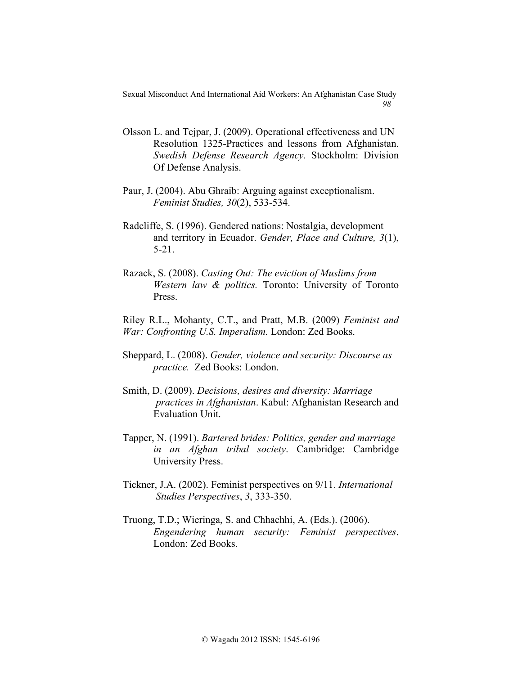- Olsson L. and Tejpar, J. (2009). Operational effectiveness and UN Resolution 1325-Practices and lessons from Afghanistan. *Swedish Defense Research Agency.* Stockholm: Division Of Defense Analysis.
- Paur, J. (2004). Abu Ghraib: Arguing against exceptionalism. *Feminist Studies, 30*(2), 533-534.
- Radcliffe, S. (1996). Gendered nations: Nostalgia, development and territory in Ecuador. *Gender, Place and Culture, 3*(1), 5-21.
- Razack, S. (2008). *Casting Out: The eviction of Muslims from Western law & politics.* Toronto: University of Toronto Press.

Riley R.L., Mohanty, C.T., and Pratt, M.B. (2009) *Feminist and War: Confronting U.S. Imperalism.* London: Zed Books.

- Sheppard, L. (2008). *Gender, violence and security: Discourse as practice.* Zed Books: London.
- Smith, D. (2009). *Decisions, desires and diversity: Marriage practices in Afghanistan*. Kabul: Afghanistan Research and Evaluation Unit.
- Tapper, N. (1991). *Bartered brides: Politics, gender and marriage in an Afghan tribal society*. Cambridge: Cambridge University Press.
- Tickner, J.A. (2002). Feminist perspectives on 9/11. *International Studies Perspectives*, *3*, 333-350.
- Truong, T.D.; Wieringa, S. and Chhachhi, A. (Eds.). (2006). *Engendering human security: Feminist perspectives*. London: Zed Books.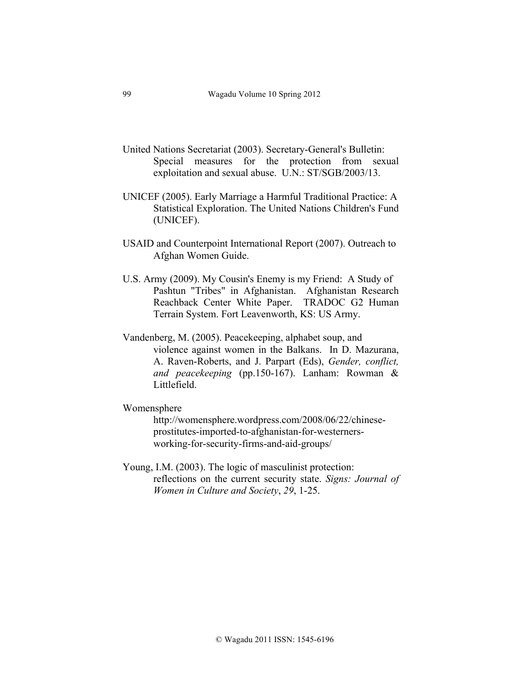- United Nations Secretariat (2003). Secretary-General's Bulletin: Special measures for the protection from sexual exploitation and sexual abuse. U.N.: ST/SGB/2003/13.
- UNICEF (2005). Early Marriage a Harmful Traditional Practice: A Statistical Exploration. The United Nations Children's Fund (UNICEF).
- USAID and Counterpoint International Report (2007). Outreach to Afghan Women Guide.
- U.S. Army (2009). My Cousin's Enemy is my Friend: A Study of Pashtun "Tribes" in Afghanistan. Afghanistan Research Reachback Center White Paper. TRADOC G2 Human Terrain System. Fort Leavenworth, KS: US Army.
- Vandenberg, M. (2005). Peacekeeping, alphabet soup, and violence against women in the Balkans. In D. Mazurana, A. Raven-Roberts, and J. Parpart (Eds), *Gender, conflict, and peacekeeping* (pp.150-167). Lanham: Rowman & Littlefield.

#### Womensphere

http://womensphere.wordpress.com/2008/06/22/chineseprostitutes-imported-to-afghanistan-for-westernersworking-for-security-firms-and-aid-groups/

Young, I.M. (2003). The logic of masculinist protection: reflections on the current security state. *Signs: Journal of Women in Culture and Society*, *29*, 1-25.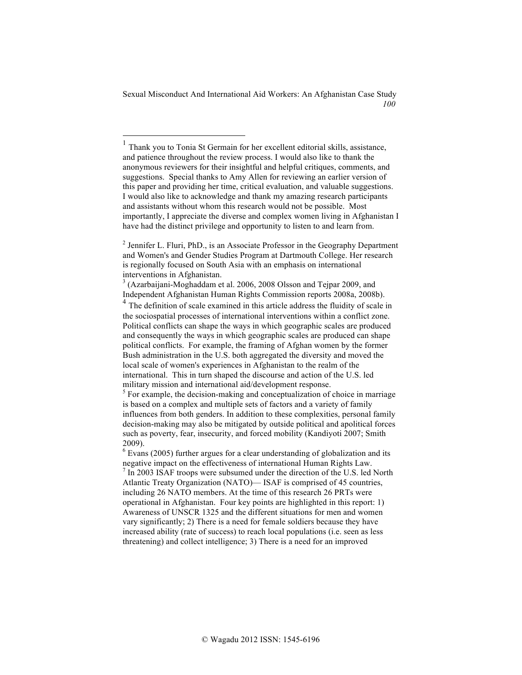<sup>1</sup> Thank you to Tonia St Germain for her excellent editorial skills, assistance, and patience throughout the review process. I would also like to thank the anonymous reviewers for their insightful and helpful critiques, comments, and suggestions. Special thanks to Amy Allen for reviewing an earlier version of this paper and providing her time, critical evaluation, and valuable suggestions. I would also like to acknowledge and thank my amazing research participants and assistants without whom this research would not be possible. Most importantly, I appreciate the diverse and complex women living in Afghanistan I have had the distinct privilege and opportunity to listen to and learn from.

<sup>&</sup>lt;sup>2</sup> Jennifer L. Fluri, PhD., is an Associate Professor in the Geography Department and Women's and Gender Studies Program at Dartmouth College. Her research is regionally focused on South Asia with an emphasis on international interventions in Afghanistan.

<sup>&</sup>lt;sup>3</sup> (Azarbaijani-Moghaddam et al. 2006, 2008 Olsson and Tejpar 2009, and Independent Afghanistan Human Rights Commission reports 2008a, 2008b).

<sup>&</sup>lt;sup>4</sup> The definition of scale examined in this article address the fluidity of scale in the sociospatial processes of international interventions within a conflict zone. Political conflicts can shape the ways in which geographic scales are produced and consequently the ways in which geographic scales are produced can shape political conflicts. For example, the framing of Afghan women by the former Bush administration in the U.S. both aggregated the diversity and moved the local scale of women's experiences in Afghanistan to the realm of the international. This in turn shaped the discourse and action of the U.S. led military mission and international aid/development response.

 $<sup>5</sup>$  For example, the decision-making and conceptualization of choice in marriage</sup> is based on a complex and multiple sets of factors and a variety of family influences from both genders. In addition to these complexities, personal family decision-making may also be mitigated by outside political and apolitical forces such as poverty, fear, insecurity, and forced mobility (Kandiyoti 2007; Smith 2009).

 $6$  Evans (2005) further argues for a clear understanding of globalization and its negative impact on the effectiveness of international Human Rights Law.<br><sup>7</sup> In 2003 ISAF troops were subsumed under the direction of the U.S. led North

Atlantic Treaty Organization (NATO)— ISAF is comprised of 45 countries, including 26 NATO members. At the time of this research 26 PRTs were operational in Afghanistan. Four key points are highlighted in this report: 1) Awareness of UNSCR 1325 and the different situations for men and women vary significantly; 2) There is a need for female soldiers because they have increased ability (rate of success) to reach local populations (i.e. seen as less threatening) and collect intelligence; 3) There is a need for an improved